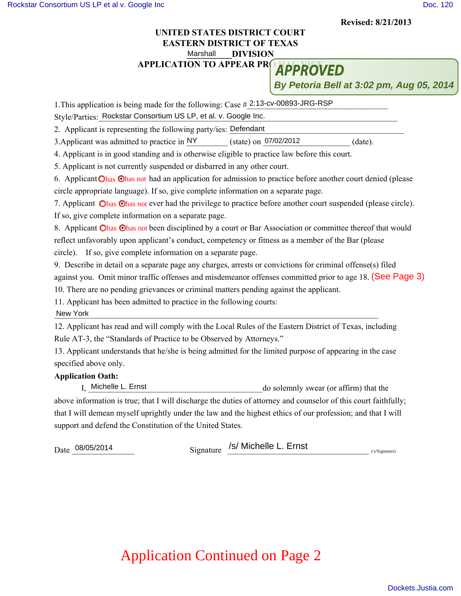**Revised: 8/21/2013**

## **UNITED STATES DISTRICT COURT EASTERN DISTRICT OF TEXAS** Marshall DIVISION Marshall

**APPLICATION TO APPEAR PRO HADDAY** 

**By Petoria Bell at 3:02 pm, Aug 05, 2014**

1. This application is being made for the following: Case #2:13-cv-00893-JRG-RSP Style/Parties: Rockstar Consortium US LP, et al. v. Google Inc. 2. Applicant is representing the following party/ies: Defendant 3. Applicant was admitted to practice in  $NY$  (state) on  $07/02/2012$  (date). 4. Applicant is in good standing and is otherwise eligible to practice law before this court. 5. Applicant is not currently suspended or disbarred in any other court. 6. Applicant Ohas Ohas not had an application for admission to practice before another court denied (please circle appropriate language). If so, give complete information on a separate page. 7. Applicant Ohas Ohas not ever had the privilege to practice before another court suspended (please circle). If so, give complete information on a separate page. 8. Applicant Ohas Ohas not been disciplined by a court or Bar Association or committee thereof that would reflect unfavorably upon applicant's conduct, competency or fitness as a member of the Bar (please circle). If so, give complete information on a separate page. 9. Describe in detail on a separate page any charges, arrests or convictions for criminal offense(s) filed against you. Omit minor traffic offenses and misdemeanor offenses committed prior to age 18. (See Page 3) 10. There are no pending grievances or criminal matters pending against the applicant. 11. Applicant has been admitted to practice in the following courts: New York and the set of the set of the set of the set of the set of the set of the set of the set of the set of the set of the set of the set of the set of the set of the set of the set of the set of the set of the set of 12. Applicant has read and will comply with the Local Rules of the Eastern District of Texas, including Rule AT-3, the "Standards of Practice to be Observed by Attorneys." 13. Applicant understands that he/she is being admitted for the limited purpose of appearing in the case specified above only. **Application Oath:** do solemnly swear (or affirm) that the above information is true; that I will discharge the duties of attorney and counselor of this court faithfully; that I will demean myself uprightly under the law and the highest ethics of our profession; and that I will New York Michelle L. Ernst

support and defend the Constitution of the United States.

Date  $\frac{08}{05/2014}$  Signature  $\frac{S}{S}$  Michelle L. Ernst (S/Signature)

## Application Continued on Page 2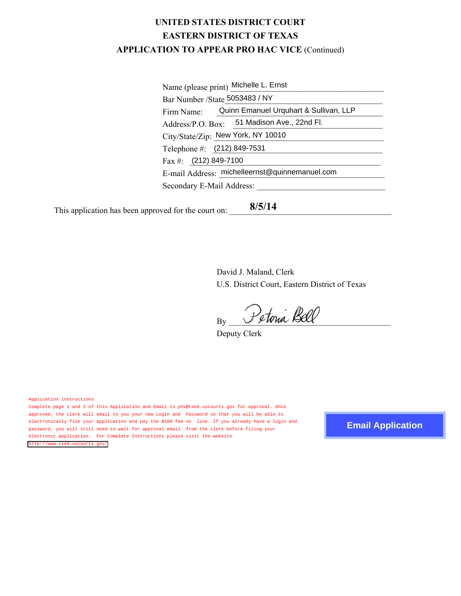## **UNITED STATES DISTRICT COURT EASTERN DISTRICT OF TEXAS APPLICATION TO APPEAR PRO HAC VICE** (Continued)

| Name (please print) Michelle L. Ernst          |                                             |
|------------------------------------------------|---------------------------------------------|
| Bar Number / State 5053483 / NY                |                                             |
| Firm Name:                                     | Quinn Emanuel Urquhart & Sullivan, LLP      |
|                                                | Address/P.O. Box: 51 Madison Ave., 22nd Fl. |
|                                                | City/State/Zip: New York, NY 10010          |
| Telephone #: (212) 849-7531                    |                                             |
| Fax #: $(212)$ 849-7100                        |                                             |
| E-mail Address: michelleernst@quinnemanuel.com |                                             |
| Secondary E-Mail Address:                      |                                             |
|                                                |                                             |

This application has been approved for the court on: **8/5/14**

> David J. Maland, Clerk U.S. District Court, Eastern District of Texas

 $B_N$  Petoria Bell

Deputy Clerk

Application Instructions

Complete page 1 and 2 of this Application and Email to phv@txed.uscourts.gov for approval. Once approved, the clerk will email to you your new Login and Password so that you will be able to electronically file your application and pay the \$100 fee on line. If you already have a login and password, you will still need to wait for approval email from the clerk before filing your electronic application. For Complete Instructions please visit the website [http://www.txed.uscourts.gov/](http://www.txed.uscourts.gov/page1.shtml?location=attorney) 

**Email Application**